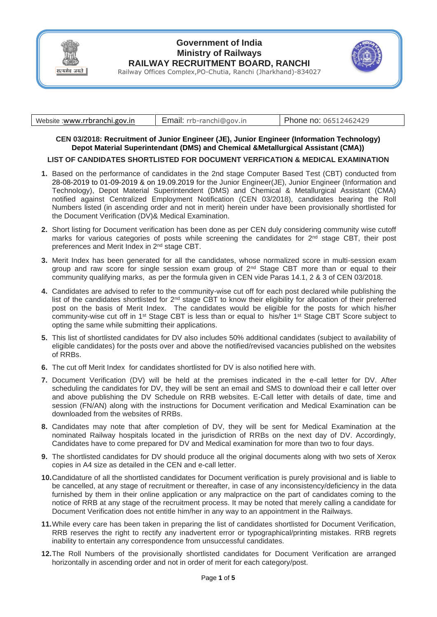

## **Government of India Ministry of Railways RAILWAY RECRUITMENT BOARD, RANCHI**

Railway Offices Complex,PO-Chutia, Ranchi (Jharkhand)-834027

| Website:www.rrbranchi.gov.in | rrb-ranchi@gov.in | hone no: 06512462429 <sup>.</sup> |
|------------------------------|-------------------|-----------------------------------|
|------------------------------|-------------------|-----------------------------------|

**CEN 03/2018: Recruitment of Junior Engineer (JE), Junior Engineer (Information Technology) Depot Material Superintendant (DMS) and Chemical &Metallurgical Assistant (CMA))**

## **LIST OF CANDIDATES SHORTLISTED FOR DOCUMENT VERFICATION & MEDICAL EXAMINATION**

- **1.** Based on the performance of candidates in the 2nd stage Computer Based Test (CBT) conducted from 28-08-2019 to 01-09-2019 & on 19.09.2019 for the Junior Engineer(JE), Junior Engineer (Information and Technology), Depot Material Superintendent (DMS) and Chemical & Metallurgical Assistant (CMA) notified against Centralized Employment Notification (CEN 03/2018), candidates bearing the Roll Numbers listed (in ascending order and not in merit) herein under have been provisionally shortlisted for the Document Verification (DV)& Medical Examination.
- **2.** Short listing for Document verification has been done as per CEN duly considering community wise cutoff marks for various categories of posts while screening the candidates for  $2^{nd}$  stage CBT, their post preferences and Merit Index in 2nd stage CBT.
- **3.** Merit Index has been generated for all the candidates, whose normalized score in multi-session exam group and raw score for single session exam group of 2<sup>nd</sup> Stage CBT more than or equal to their community qualifying marks, as per the formula given in CEN vide Paras 14.1, 2 & 3 of CEN 03/2018.
- **4.** Candidates are advised to refer to the community-wise cut off for each post declared while publishing the list of the candidates shortlisted for  $2^{nd}$  stage CBT to know their eligibility for allocation of their preferred post on the basis of Merit Index. The candidates would be eligible for the posts for which his/her community-wise cut off in 1st Stage CBT is less than or equal to his/her 1st Stage CBT Score subject to opting the same while submitting their applications.
- **5.** This list of shortlisted candidates for DV also includes 50% additional candidates (subject to availability of eligible candidates) for the posts over and above the notified/revised vacancies published on the websites of RRBs.
- **6.** The cut off Merit Index for candidates shortlisted for DV is also notified here with.
- **7.** Document Verification (DV) will be held at the premises indicated in the e-call letter for DV. After scheduling the candidates for DV, they will be sent an email and SMS to download their e call letter over and above publishing the DV Schedule on RRB websites. E-Call letter with details of date, time and session (FN/AN) along with the instructions for Document verification and Medical Examination can be downloaded from the websites of RRBs.
- **8.** Candidates may note that after completion of DV, they will be sent for Medical Examination at the nominated Railway hospitals located in the jurisdiction of RRBs on the next day of DV. Accordingly, Candidates have to come prepared for DV and Medical examination for more than two to four days.
- **9.** The shortlisted candidates for DV should produce all the original documents along with two sets of Xerox copies in A4 size as detailed in the CEN and e-call letter.
- **10.**Candidature of all the shortlisted candidates for Document verification is purely provisional and is liable to be cancelled, at any stage of recruitment or thereafter, in case of any inconsistency/deficiency in the data furnished by them in their online application or any malpractice on the part of candidates coming to the notice of RRB at any stage of the recruitment process. It may be noted that merely calling a candidate for Document Verification does not entitle him/her in any way to an appointment in the Railways.
- **11.**While every care has been taken in preparing the list of candidates shortlisted for Document Verification, RRB reserves the right to rectify any inadvertent error or typographical/printing mistakes. RRB regrets inability to entertain any correspondence from unsuccessful candidates.
- **12.**The Roll Numbers of the provisionally shortlisted candidates for Document Verification are arranged horizontally in ascending order and not in order of merit for each category/post.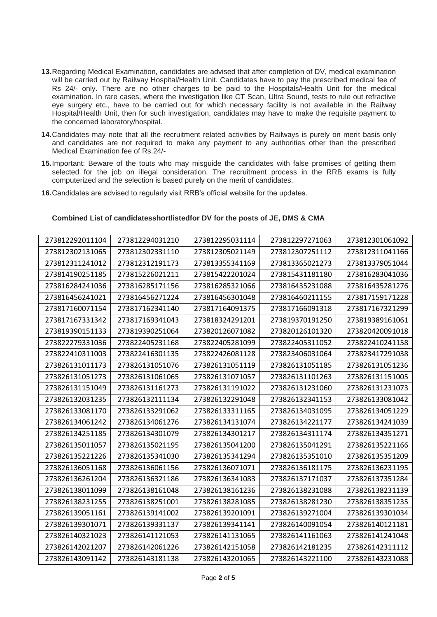- **13.**Regarding Medical Examination, candidates are advised that after completion of DV, medical examination will be carried out by Railway Hospital/Health Unit. Candidates have to pay the prescribed medical fee of Rs 24/- only. There are no other charges to be paid to the Hospitals/Health Unit for the medical examination. In rare cases, where the investigation like CT Scan, Ultra Sound, tests to rule out refractive eye surgery etc., have to be carried out for which necessary facility is not available in the Railway Hospital/Health Unit, then for such investigation, candidates may have to make the requisite payment to the concerned laboratory/hospital.
- **14.**Candidates may note that all the recruitment related activities by Railways is purely on merit basis only and candidates are not required to make any payment to any authorities other than the prescribed Medical Examination fee of Rs.24/-
- **15.**Important: Beware of the touts who may misguide the candidates with false promises of getting them selected for the job on illegal consideration. The recruitment process in the RRB exams is fully computerized and the selection is based purely on the merit of candidates.
- **16.**Candidates are advised to regularly visit RRB's official website for the updates.

## **Combined List of candidatesshortlistedfor DV for the posts of JE, DMS & CMA**

| 273812292011104 | 273812294031210 | 273812295031114 | 273812297271063 | 273812301061092 |
|-----------------|-----------------|-----------------|-----------------|-----------------|
| 273812302131065 | 273812302331110 | 273812305021149 | 273812307251112 | 273812311041166 |
| 273812311241012 | 273812312191173 | 273813355341169 | 273813365021273 | 273813379051044 |
| 273814190251185 | 273815226021211 | 273815422201024 | 273815431181180 | 273816283041036 |
| 273816284241036 | 273816285171156 | 273816285321066 | 273816435231088 | 273816435281276 |
| 273816456241021 | 273816456271224 | 273816456301048 | 273816460211155 | 273817159171228 |
| 273817160071154 | 273817162341140 | 273817164091375 | 273817166091318 | 273817167321299 |
| 273817167331342 | 273817169341043 | 273818324291201 | 273819370191250 | 273819389161061 |
| 273819390151133 | 273819390251064 | 273820126071082 | 273820126101320 | 273820420091018 |
| 273822279331036 | 273822405231168 | 273822405281099 | 273822405311052 | 273822410241158 |
| 273822410311003 | 273822416301135 | 273822426081128 | 273823406031064 | 273823417291038 |
| 273826131011173 | 273826131051076 | 273826131051119 | 273826131051185 | 273826131051236 |
| 273826131051273 | 273826131061065 | 273826131071057 | 273826131101263 | 273826131151005 |
| 273826131151049 | 273826131161273 | 273826131191022 | 273826131231060 | 273826131231073 |
| 273826132031235 | 273826132111134 | 273826132291048 | 273826132341153 | 273826133081042 |
| 273826133081170 | 273826133291062 | 273826133311165 | 273826134031095 | 273826134051229 |
| 273826134061242 | 273826134061276 | 273826134131074 | 273826134221177 | 273826134241039 |
| 273826134251185 | 273826134301079 | 273826134301217 | 273826134311174 | 273826134351271 |
| 273826135011057 | 273826135021195 | 273826135041200 | 273826135041291 | 273826135221166 |
| 273826135221226 | 273826135341030 | 273826135341294 | 273826135351010 | 273826135351209 |
| 273826136051168 | 273826136061156 | 273826136071071 | 273826136181175 | 273826136231195 |
| 273826136261204 | 273826136321186 | 273826136341083 | 273826137171037 | 273826137351284 |
| 273826138011099 | 273826138161048 | 273826138161236 | 273826138231088 | 273826138231139 |
| 273826138231255 | 273826138251001 | 273826138281085 | 273826138281230 | 273826138351235 |
| 273826139051161 | 273826139141002 | 273826139201091 | 273826139271004 | 273826139301034 |
| 273826139301071 | 273826139331137 | 273826139341141 | 273826140091054 | 273826140121181 |
| 273826140321023 | 273826141121053 | 273826141131065 | 273826141161063 | 273826141241048 |
| 273826142021207 | 273826142061226 | 273826142151058 | 273826142181235 | 273826142311112 |
| 273826143091142 | 273826143181138 | 273826143201065 | 273826143221100 | 273826143231088 |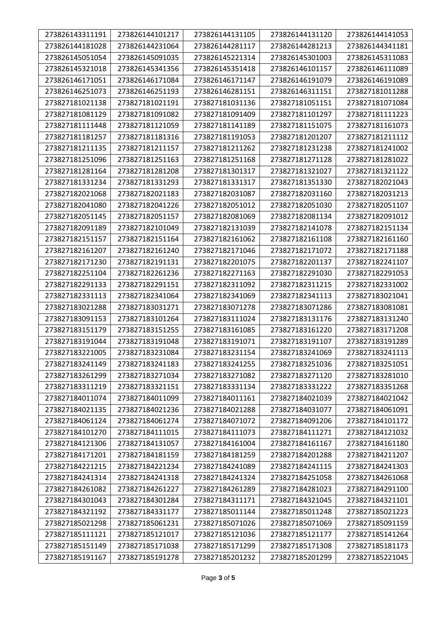| 273826143311191 | 273826144101217 | 273826144131105 | 273826144131120 | 273826144141053 |
|-----------------|-----------------|-----------------|-----------------|-----------------|
| 273826144181028 | 273826144231064 | 273826144281117 | 273826144281213 | 273826144341181 |
| 273826145051054 | 273826145091035 | 273826145221314 | 273826145301003 | 273826145311083 |
| 273826145321018 | 273826145341356 | 273826145351418 | 273826146101157 | 273826146111089 |
| 273826146171051 | 273826146171084 | 273826146171147 | 273826146191079 | 273826146191089 |
| 273826146251073 | 273826146251193 | 273826146281151 | 273826146311151 | 273827181011288 |
| 273827181021138 | 273827181021191 | 273827181031136 | 273827181051151 | 273827181071084 |
| 273827181081129 | 273827181091082 | 273827181091409 | 273827181101297 | 273827181111223 |
| 273827181111448 | 273827181121059 | 273827181141189 | 273827181151075 | 273827181161073 |
| 273827181181257 | 273827181181316 | 273827181191053 | 273827181201207 | 273827181211112 |
| 273827181211135 | 273827181211157 | 273827181211262 | 273827181231238 | 273827181241002 |
| 273827181251096 | 273827181251163 | 273827181251168 | 273827181271128 | 273827181281022 |
| 273827181281164 | 273827181281208 | 273827181301317 | 273827181321027 | 273827181321122 |
| 273827181331234 | 273827181331293 | 273827181331317 | 273827181351330 | 273827182021043 |
| 273827182021068 | 273827182021183 | 273827182031087 | 273827182031160 | 273827182031213 |
| 273827182041080 | 273827182041226 | 273827182051012 | 273827182051030 | 273827182051107 |
| 273827182051145 | 273827182051157 | 273827182081069 | 273827182081134 | 273827182091012 |
| 273827182091189 | 273827182101049 | 273827182131039 | 273827182141078 | 273827182151134 |
| 273827182151157 | 273827182151164 | 273827182161062 | 273827182161108 | 273827182161160 |
| 273827182161207 | 273827182161240 | 273827182171046 | 273827182171072 | 273827182171188 |
| 273827182171230 | 273827182191131 | 273827182201075 | 273827182201137 | 273827182241107 |
| 273827182251104 | 273827182261236 | 273827182271163 | 273827182291030 | 273827182291053 |
| 273827182291133 | 273827182291151 | 273827182311092 | 273827182311215 | 273827182331002 |
| 273827182331113 | 273827182341064 | 273827182341069 | 273827182341113 | 273827183021041 |
| 273827183021288 | 273827183031271 | 273827183071278 | 273827183071286 | 273827183081081 |
| 273827183091153 | 273827183101264 | 273827183111024 | 273827183131176 | 273827183131240 |
| 273827183151179 | 273827183151255 | 273827183161085 | 273827183161220 | 273827183171208 |
| 273827183191044 | 273827183191048 | 273827183191071 | 273827183191107 | 273827183191289 |
| 273827183221005 | 273827183231084 | 273827183231154 | 273827183241069 | 273827183241113 |
| 273827183241149 | 273827183241183 | 273827183241255 | 273827183251036 | 273827183251051 |
| 273827183261299 | 273827183271034 | 273827183271082 | 273827183271120 | 273827183281010 |
| 273827183311219 | 273827183321151 | 273827183331134 | 273827183331222 | 273827183351268 |
| 273827184011074 | 273827184011099 | 273827184011161 | 273827184021039 | 273827184021042 |
| 273827184021135 | 273827184021236 | 273827184021288 | 273827184031077 | 273827184061091 |
| 273827184061124 | 273827184061274 | 273827184071072 | 273827184091206 | 273827184101172 |
| 273827184101270 | 273827184111015 | 273827184111073 | 273827184111271 | 273827184121032 |
| 273827184121306 | 273827184131057 | 273827184161004 | 273827184161167 | 273827184161180 |
| 273827184171201 | 273827184181159 | 273827184181259 | 273827184201288 | 273827184211207 |
| 273827184221215 | 273827184221234 | 273827184241089 | 273827184241115 | 273827184241303 |
| 273827184241314 | 273827184241318 | 273827184241324 | 273827184251058 | 273827184261068 |
| 273827184261082 | 273827184261227 | 273827184261289 | 273827184281023 | 273827184291100 |
| 273827184301043 | 273827184301284 | 273827184311171 | 273827184321045 | 273827184321101 |
| 273827184321192 | 273827184331177 | 273827185011144 | 273827185011248 | 273827185021223 |
| 273827185021298 | 273827185061231 | 273827185071026 | 273827185071069 | 273827185091159 |
| 273827185111121 | 273827185121017 | 273827185121036 | 273827185121177 | 273827185141264 |
| 273827185151149 | 273827185171038 | 273827185171299 | 273827185171308 | 273827185181173 |
| 273827185191167 | 273827185191278 | 273827185201232 | 273827185201299 | 273827185221045 |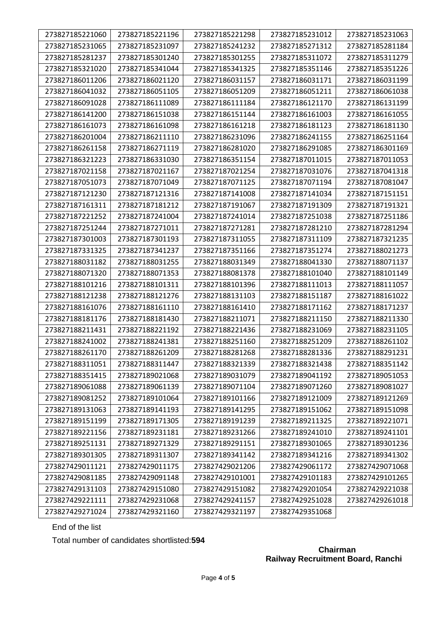| 273827185221060 | 273827185221196 | 273827185221298 | 273827185231012 | 273827185231063 |
|-----------------|-----------------|-----------------|-----------------|-----------------|
| 273827185231065 | 273827185231097 | 273827185241232 | 273827185271312 | 273827185281184 |
| 273827185281237 | 273827185301240 | 273827185301255 | 273827185311072 | 273827185311279 |
| 273827185321020 | 273827185341044 | 273827185341325 | 273827185351146 | 273827185351226 |
| 273827186011206 | 273827186021120 | 273827186031157 | 273827186031171 | 273827186031199 |
| 273827186041032 | 273827186051105 | 273827186051209 | 273827186051211 | 273827186061038 |
| 273827186091028 | 273827186111089 | 273827186111184 | 273827186121170 | 273827186131199 |
| 273827186141200 | 273827186151038 | 273827186151144 | 273827186161003 | 273827186161055 |
| 273827186161073 | 273827186161098 | 273827186161218 | 273827186181123 | 273827186181130 |
| 273827186201004 | 273827186211110 | 273827186231096 | 273827186241155 | 273827186251164 |
| 273827186261158 | 273827186271119 | 273827186281020 | 273827186291085 | 273827186301169 |
| 273827186321223 | 273827186331030 | 273827186351154 | 273827187011015 | 273827187011053 |
| 273827187021158 | 273827187021167 | 273827187021254 | 273827187031076 | 273827187041318 |
| 273827187051073 | 273827187071049 | 273827187071125 | 273827187071194 | 273827187081047 |
| 273827187121230 | 273827187121316 | 273827187141008 | 273827187141034 | 273827187151151 |
| 273827187161311 | 273827187181212 | 273827187191067 | 273827187191309 | 273827187191321 |
| 273827187221252 | 273827187241004 | 273827187241014 | 273827187251038 | 273827187251186 |
| 273827187251244 | 273827187271011 | 273827187271281 | 273827187281210 | 273827187281294 |
| 273827187301003 | 273827187301193 | 273827187311055 | 273827187311109 | 273827187321235 |
| 273827187331325 | 273827187341237 | 273827187351166 | 273827187351274 | 273827188021273 |
| 273827188031182 | 273827188031255 | 273827188031349 | 273827188041330 | 273827188071137 |
| 273827188071320 | 273827188071353 | 273827188081378 | 273827188101040 | 273827188101149 |
| 273827188101216 | 273827188101311 | 273827188101396 | 273827188111013 | 273827188111057 |
| 273827188121238 | 273827188121276 | 273827188131103 | 273827188151187 | 273827188161022 |
| 273827188161076 | 273827188161110 | 273827188161410 | 273827188171162 | 273827188171237 |
| 273827188181176 | 273827188181430 | 273827188211071 | 273827188211150 | 273827188211330 |
| 273827188211431 | 273827188221192 | 273827188221436 | 273827188231069 | 273827188231105 |
| 273827188241002 | 273827188241381 | 273827188251160 | 273827188251209 | 273827188261102 |
| 273827188261170 | 273827188261209 | 273827188281268 | 273827188281336 | 273827188291231 |
| 273827188311051 | 273827188311447 | 273827188321339 | 273827188321438 | 273827188351142 |
| 273827188351415 | 273827189021068 | 273827189031079 | 273827189041192 | 273827189051053 |
| 273827189061088 | 273827189061139 | 273827189071104 | 273827189071260 | 273827189081027 |
| 273827189081252 | 273827189101064 | 273827189101166 | 273827189121009 | 273827189121269 |
| 273827189131063 | 273827189141193 | 273827189141295 | 273827189151062 | 273827189151098 |
| 273827189151199 | 273827189171305 | 273827189191239 | 273827189211325 | 273827189221071 |
| 273827189221156 | 273827189231181 | 273827189231266 | 273827189241010 | 273827189241101 |
| 273827189251131 | 273827189271329 | 273827189291151 | 273827189301065 | 273827189301236 |
| 273827189301305 | 273827189311307 | 273827189341142 | 273827189341216 | 273827189341302 |
| 273827429011121 | 273827429011175 | 273827429021206 | 273827429061172 | 273827429071068 |
| 273827429081185 | 273827429091148 | 273827429101001 | 273827429101183 | 273827429101265 |
| 273827429131103 | 273827429151080 | 273827429151082 | 273827429201054 | 273827429221038 |
| 273827429221111 | 273827429231068 | 273827429241157 | 273827429251028 | 273827429261018 |
| 273827429271024 | 273827429321160 | 273827429321197 | 273827429351068 |                 |

End of the list

Total number of candidates shortlisted:**594**

## **Chairman Railway Recruitment Board, Ranchi**